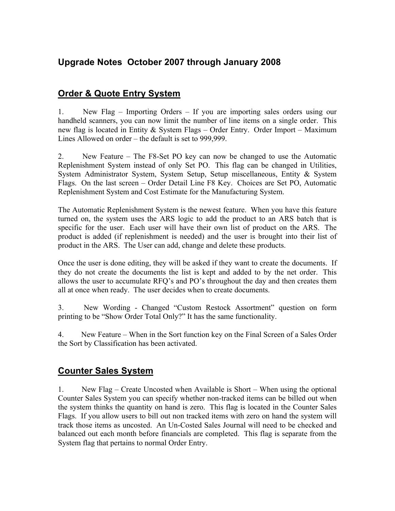## **Upgrade Notes October 2007 through January 2008**

## **Order & Quote Entry System**

1. New Flag – Importing Orders – If you are importing sales orders using our handheld scanners, you can now limit the number of line items on a single order. This new flag is located in Entity & System Flags – Order Entry. Order Import – Maximum Lines Allowed on order – the default is set to 999,999.

2. New Feature – The F8-Set PO key can now be changed to use the Automatic Replenishment System instead of only Set PO. This flag can be changed in Utilities, System Administrator System, System Setup, Setup miscellaneous, Entity & System Flags. On the last screen – Order Detail Line F8 Key. Choices are Set PO, Automatic Replenishment System and Cost Estimate for the Manufacturing System.

The Automatic Replenishment System is the newest feature. When you have this feature turned on, the system uses the ARS logic to add the product to an ARS batch that is specific for the user. Each user will have their own list of product on the ARS. The product is added (if replenishment is needed) and the user is brought into their list of product in the ARS. The User can add, change and delete these products.

Once the user is done editing, they will be asked if they want to create the documents. If they do not create the documents the list is kept and added to by the net order. This allows the user to accumulate RFQ's and PO's throughout the day and then creates them all at once when ready. The user decides when to create documents.

3. New Wording - Changed "Custom Restock Assortment" question on form printing to be "Show Order Total Only?" It has the same functionality.

4. New Feature – When in the Sort function key on the Final Screen of a Sales Order the Sort by Classification has been activated.

## **Counter Sales System**

1. New Flag – Create Uncosted when Available is Short – When using the optional Counter Sales System you can specify whether non-tracked items can be billed out when the system thinks the quantity on hand is zero. This flag is located in the Counter Sales Flags. If you allow users to bill out non tracked items with zero on hand the system will track those items as uncosted. An Un-Costed Sales Journal will need to be checked and balanced out each month before financials are completed. This flag is separate from the System flag that pertains to normal Order Entry.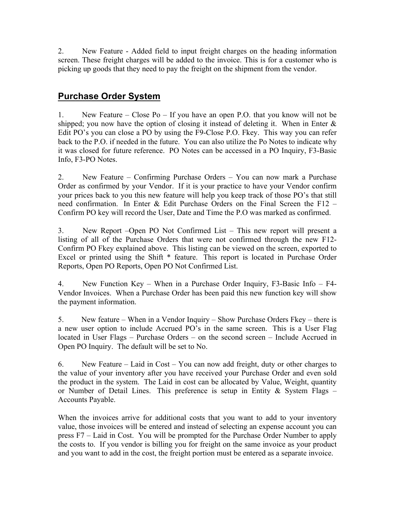2. New Feature - Added field to input freight charges on the heading information screen. These freight charges will be added to the invoice. This is for a customer who is picking up goods that they need to pay the freight on the shipment from the vendor.

## **Purchase Order System**

1. New Feature – Close Po – If you have an open P.O. that you know will not be shipped; you now have the option of closing it instead of deleting it. When in Enter  $\&$ Edit PO's you can close a PO by using the F9-Close P.O. Fkey. This way you can refer back to the P.O. if needed in the future. You can also utilize the Po Notes to indicate why it was closed for future reference. PO Notes can be accessed in a PO Inquiry, F3-Basic Info, F3-PO Notes.

2. New Feature – Confirming Purchase Orders – You can now mark a Purchase Order as confirmed by your Vendor. If it is your practice to have your Vendor confirm your prices back to you this new feature will help you keep track of those PO's that still need confirmation. In Enter & Edit Purchase Orders on the Final Screen the F12 – Confirm PO key will record the User, Date and Time the P.O was marked as confirmed.

3. New Report –Open PO Not Confirmed List – This new report will present a listing of all of the Purchase Orders that were not confirmed through the new F12- Confirm PO Fkey explained above. This listing can be viewed on the screen, exported to Excel or printed using the Shift \* feature. This report is located in Purchase Order Reports, Open PO Reports, Open PO Not Confirmed List.

4. New Function Key – When in a Purchase Order Inquiry, F3-Basic Info – F4- Vendor Invoices. When a Purchase Order has been paid this new function key will show the payment information.

5. New feature – When in a Vendor Inquiry – Show Purchase Orders Fkey – there is a new user option to include Accrued PO's in the same screen. This is a User Flag located in User Flags – Purchase Orders – on the second screen – Include Accrued in Open PO Inquiry. The default will be set to No.

6. New Feature – Laid in Cost – You can now add freight, duty or other charges to the value of your inventory after you have received your Purchase Order and even sold the product in the system. The Laid in cost can be allocated by Value, Weight, quantity or Number of Detail Lines. This preference is setup in Entity  $\&$  System Flags – Accounts Payable.

When the invoices arrive for additional costs that you want to add to your inventory value, those invoices will be entered and instead of selecting an expense account you can press F7 – Laid in Cost. You will be prompted for the Purchase Order Number to apply the costs to. If you vendor is billing you for freight on the same invoice as your product and you want to add in the cost, the freight portion must be entered as a separate invoice.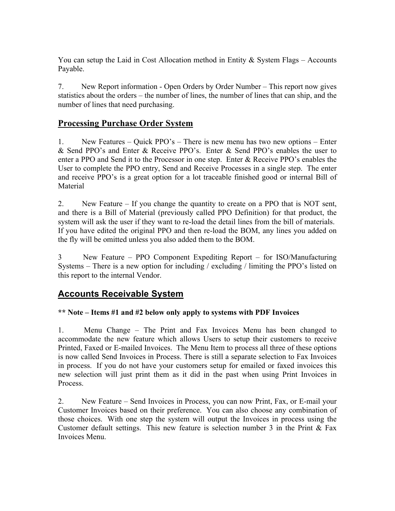You can setup the Laid in Cost Allocation method in Entity  $\&$  System Flags – Accounts Payable.

7. New Report information - Open Orders by Order Number – This report now gives statistics about the orders – the number of lines, the number of lines that can ship, and the number of lines that need purchasing.

### **Processing Purchase Order System**

1. New Features – Quick PPO's – There is new menu has two new options – Enter & Send PPO's and Enter & Receive PPO's. Enter & Send PPO's enables the user to enter a PPO and Send it to the Processor in one step. Enter & Receive PPO's enables the User to complete the PPO entry, Send and Receive Processes in a single step. The enter and receive PPO's is a great option for a lot traceable finished good or internal Bill of **Material** 

2. New Feature – If you change the quantity to create on a PPO that is NOT sent, and there is a Bill of Material (previously called PPO Definition) for that product, the system will ask the user if they want to re-load the detail lines from the bill of materials. If you have edited the original PPO and then re-load the BOM, any lines you added on the fly will be omitted unless you also added them to the BOM.

3 New Feature – PPO Component Expediting Report – for ISO/Manufacturing Systems – There is a new option for including / excluding / limiting the PPO's listed on this report to the internal Vendor.

### **Accounts Receivable System**

### **\*\* Note – Items #1 and #2 below only apply to systems with PDF Invoices**

1. Menu Change – The Print and Fax Invoices Menu has been changed to accommodate the new feature which allows Users to setup their customers to receive Printed, Faxed or E-mailed Invoices. The Menu Item to process all three of these options is now called Send Invoices in Process. There is still a separate selection to Fax Invoices in process. If you do not have your customers setup for emailed or faxed invoices this new selection will just print them as it did in the past when using Print Invoices in Process.

2. New Feature – Send Invoices in Process, you can now Print, Fax, or E-mail your Customer Invoices based on their preference. You can also choose any combination of those choices. With one step the system will output the Invoices in process using the Customer default settings. This new feature is selection number  $3$  in the Print  $\&$  Fax Invoices Menu.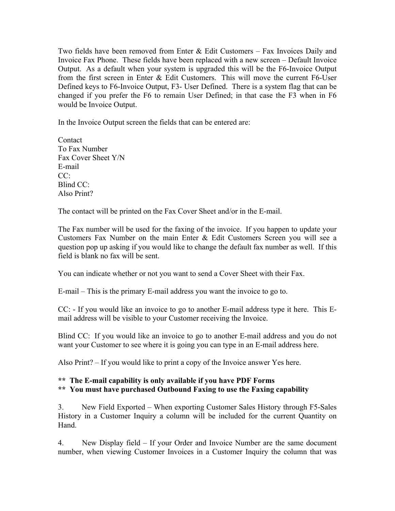Two fields have been removed from Enter & Edit Customers – Fax Invoices Daily and Invoice Fax Phone. These fields have been replaced with a new screen – Default Invoice Output. As a default when your system is upgraded this will be the F6-Invoice Output from the first screen in Enter & Edit Customers. This will move the current F6-User Defined keys to F6-Invoice Output, F3- User Defined. There is a system flag that can be changed if you prefer the F6 to remain User Defined; in that case the F3 when in F6 would be Invoice Output.

In the Invoice Output screen the fields that can be entered are:

Contact To Fax Number Fax Cover Sheet Y/N E-mail  $CC^{\cdot}$ Blind CC: Also Print?

The contact will be printed on the Fax Cover Sheet and/or in the E-mail.

The Fax number will be used for the faxing of the invoice. If you happen to update your Customers Fax Number on the main Enter & Edit Customers Screen you will see a question pop up asking if you would like to change the default fax number as well. If this field is blank no fax will be sent.

You can indicate whether or not you want to send a Cover Sheet with their Fax.

E-mail – This is the primary E-mail address you want the invoice to go to.

CC: - If you would like an invoice to go to another E-mail address type it here. This Email address will be visible to your Customer receiving the Invoice.

Blind CC: If you would like an invoice to go to another E-mail address and you do not want your Customer to see where it is going you can type in an E-mail address here.

Also Print? – If you would like to print a copy of the Invoice answer Yes here.

#### **\*\* The E-mail capability is only available if you have PDF Forms \*\* You must have purchased Outbound Faxing to use the Faxing capability**

3. New Field Exported – When exporting Customer Sales History through F5-Sales History in a Customer Inquiry a column will be included for the current Quantity on Hand.

4. New Display field – If your Order and Invoice Number are the same document number, when viewing Customer Invoices in a Customer Inquiry the column that was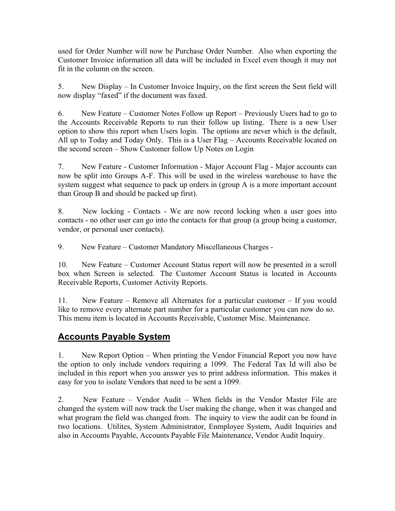used for Order Number will now be Purchase Order Number. Also when exporting the Customer Invoice information all data will be included in Excel even though it may not fit in the column on the screen.

5. New Display – In Customer Invoice Inquiry, on the first screen the Sent field will now display "faxed" if the document was faxed.

6. New Feature – Customer Notes Follow up Report – Previously Users had to go to the Accounts Receivable Reports to run their follow up listing. There is a new User option to show this report when Users login. The options are never which is the default, All up to Today and Today Only. This is a User Flag – Accounts Receivable located on the second screen – Show Customer follow Up Notes on Login

7. New Feature - Customer Information - Major Account Flag - Major accounts can now be split into Groups A-F. This will be used in the wireless warehouse to have the system suggest what sequence to pack up orders in (group A is a more important account than Group B and should be packed up first).

8. New locking - Contacts - We are now record locking when a user goes into contacts - no other user can go into the contacts for that group (a group being a customer, vendor, or personal user contacts).

9. New Feature – Customer Mandatory Miscellaneous Charges -

10. New Feature – Customer Account Status report will now be presented in a scroll box when Screen is selected. The Customer Account Status is located in Accounts Receivable Reports, Customer Activity Reports.

11. New Feature – Remove all Alternates for a particular customer – If you would like to remove every alternate part number for a particular customer you can now do so. This menu item is located in Accounts Receivable, Customer Misc. Maintenance.

# **Accounts Payable System**

1. New Report Option – When printing the Vendor Financial Report you now have the option to only include vendors requiring a 1099. The Federal Tax Id will also be included in this report when you answer yes to print address information. This makes it easy for you to isolate Vendors that need to be sent a 1099.

2. New Feature – Vendor Audit – When fields in the Vendor Master File are changed the system will now track the User making the change, when it was changed and what program the field was changed from. The inquiry to view the audit can be found in two locations. Utilites, System Administrator, Enmployee System, Audit Inquiries and also in Accounts Payable, Accounts Payable File Maintenance, Vendor Audit Inquiry.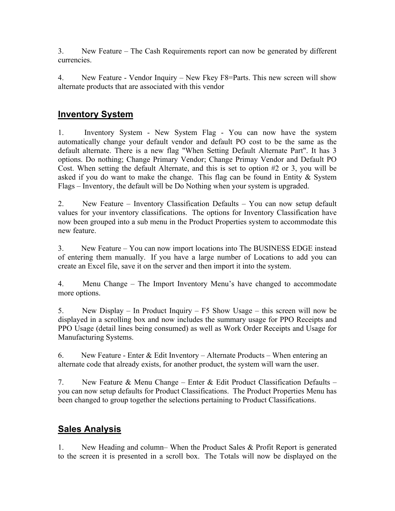3. New Feature – The Cash Requirements report can now be generated by different currencies.

4. New Feature - Vendor Inquiry – New Fkey F8=Parts. This new screen will show alternate products that are associated with this vendor

### **Inventory System**

1. Inventory System - New System Flag - You can now have the system automatically change your default vendor and default PO cost to be the same as the default alternate. There is a new flag "When Setting Default Alternate Part". It has 3 options. Do nothing; Change Primary Vendor; Change Primay Vendor and Default PO Cost. When setting the default Alternate, and this is set to option #2 or 3, you will be asked if you do want to make the change. This flag can be found in Entity & System Flags – Inventory, the default will be Do Nothing when your system is upgraded.

2. New Feature – Inventory Classification Defaults – You can now setup default values for your inventory classifications. The options for Inventory Classification have now been grouped into a sub menu in the Product Properties system to accommodate this new feature.

3. New Feature – You can now import locations into The BUSINESS EDGE instead of entering them manually. If you have a large number of Locations to add you can create an Excel file, save it on the server and then import it into the system.

4. Menu Change – The Import Inventory Menu's have changed to accommodate more options.

5. New Display – In Product Inquiry – F5 Show Usage – this screen will now be displayed in a scrolling box and now includes the summary usage for PPO Receipts and PPO Usage (detail lines being consumed) as well as Work Order Receipts and Usage for Manufacturing Systems.

6. New Feature - Enter  $&$  Edit Inventory – Alternate Products – When entering an alternate code that already exists, for another product, the system will warn the user.

7. New Feature & Menu Change – Enter & Edit Product Classification Defaults – you can now setup defaults for Product Classifications. The Product Properties Menu has been changed to group together the selections pertaining to Product Classifications.

## **Sales Analysis**

1. New Heading and column– When the Product Sales & Profit Report is generated to the screen it is presented in a scroll box. The Totals will now be displayed on the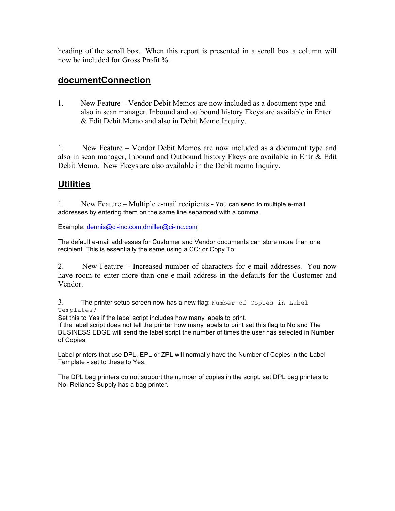heading of the scroll box. When this report is presented in a scroll box a column will now be included for Gross Profit %.

### **documentConnection**

1. New Feature – Vendor Debit Memos are now included as a document type and also in scan manager. Inbound and outbound history Fkeys are available in Enter & Edit Debit Memo and also in Debit Memo Inquiry.

1. New Feature – Vendor Debit Memos are now included as a document type and also in scan manager, Inbound and Outbound history Fkeys are available in Entr & Edit Debit Memo. New Fkeys are also available in the Debit memo Inquiry.

### **Utilities**

1. New Feature – Multiple e-mail recipients - You can send to multiple e-mail addresses by entering them on the same line separated with a comma.

Example: dennis@ci-inc.com,dmiller@ci-inc.com

The default e-mail addresses for Customer and Vendor documents can store more than one recipient. This is essentially the same using a CC: or Copy To:

2. New Feature – Increased number of characters for e-mail addresses. You now have room to enter more than one e-mail address in the defaults for the Customer and Vendor.

3. The printer setup screen now has a new flag: Number of Copies in Label Templates?

Set this to Yes if the label script includes how many labels to print.

If the label script does not tell the printer how many labels to print set this flag to No and The BUSINESS EDGE will send the label script the number of times the user has selected in Number of Copies.

Label printers that use DPL, EPL or ZPL will normally have the Number of Copies in the Label Template - set to these to Yes.

The DPL bag printers do not support the number of copies in the script, set DPL bag printers to No. Reliance Supply has a bag printer.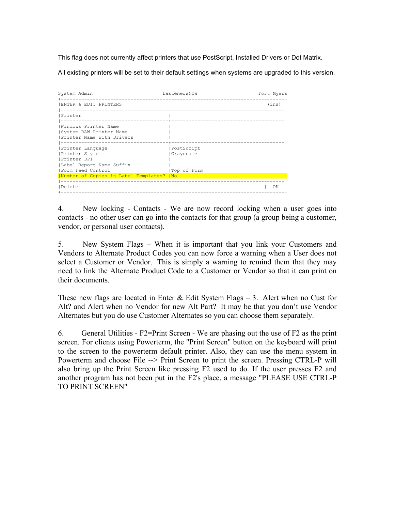This flag does not currently affect printers that use PostScript, Installed Drivers or Dot Matrix.

All existing printers will be set to their default settings when systems are upgraded to this version.

| System Admin                                                                                               | fastenersNOW                           | Fort Myers |
|------------------------------------------------------------------------------------------------------------|----------------------------------------|------------|
| ENTER & EDIT PRINTERS                                                                                      |                                        | (ins)      |
| Printer                                                                                                    |                                        |            |
| Windows Printer Name<br>System RAW Printer Name<br>Printer Name with Drivers                               |                                        |            |
| Printer Language<br>Printer Style<br><b>IPrinter DPI</b><br> Label Report Name Suffix<br>Form Feed Control | PostScript<br>Grayscale<br>Top of Form |            |
| Number of Copies in Label Templates?   No                                                                  |                                        |            |
| <b>IDelete</b>                                                                                             |                                        | OK         |

4. New locking - Contacts - We are now record locking when a user goes into contacts - no other user can go into the contacts for that group (a group being a customer, vendor, or personal user contacts).

5. New System Flags – When it is important that you link your Customers and Vendors to Alternate Product Codes you can now force a warning when a User does not select a Customer or Vendor. This is simply a warning to remind them that they may need to link the Alternate Product Code to a Customer or Vendor so that it can print on their documents.

These new flags are located in Enter  $\&$  Edit System Flags – 3. Alert when no Cust for Alt? and Alert when no Vendor for new Alt Part? It may be that you don't use Vendor Alternates but you do use Customer Alternates so you can choose them separately.

6. General Utilities -  $E2=Print$  Screen - We are phasing out the use of  $E2$  as the print screen. For clients using Powerterm, the "Print Screen" button on the keyboard will print to the screen to the powerterm default printer. Also, they can use the menu system in Powerterm and choose File --> Print Screen to print the screen. Pressing CTRL-P will also bring up the Print Screen like pressing F2 used to do. If the user presses F2 and another program has not been put in the F2's place, a message "PLEASE USE CTRL-P TO PRINT SCREEN"